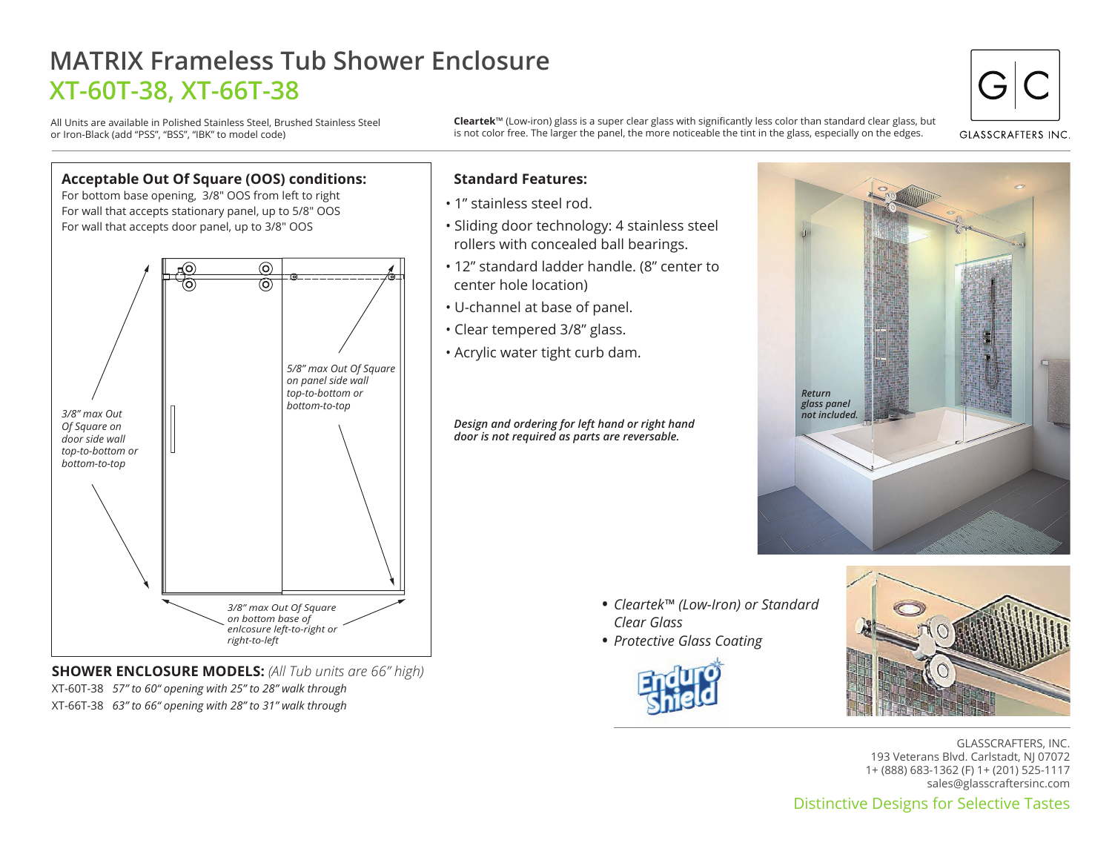## **MATRIX Frameless Tub Shower Enclosure XT-60T-38, XT-66T-38**

All Units are available in Polished Stainless Steel, Brushed Stainless Steel or Iron-Black (add "PSS", "BSS", "IBK" to model code)

**Cleartek**™ (Low-iron) glass is a super clear glass with significantly less color than standard clear glass, but is not color free. The larger the panel, the more noticeable the tint in the glass, especially on the edges.



**GLASSCRAFTERS INC** 



**SHOWER ENCLOSURE MODELS:** *(All Tub units are 66" high)* XT-60T-38 *57" to 60" opening with 25" to 28" walk through* XT-66T-38 *63" to 66" opening with 28" to 31" walk through*

## **Standard Features:**

- 1" stainless steel rod.
- Sliding door technology: 4 stainless steel rollers with concealed ball bearings.
- 12" standard ladder handle. (8" center to center hole location)
- U-channel at base of panel.
- Clear tempered 3/8" glass.
- Acrylic water tight curb dam.

*Design and ordering for left hand or right hand door is not required as parts are reversable.*



- *Cleartek™ (Low-Iron) or Standard Clear Glass*
- *Protective Glass Coating* •





Distinctive Designs for Selective Tastes GLASSCRAFTERS, INC. 193 Veterans Blvd. Carlstadt, NJ 07072 1+ (888) 683-1362 (F) 1+ (201) 525-1117 sales@glasscraftersinc.com